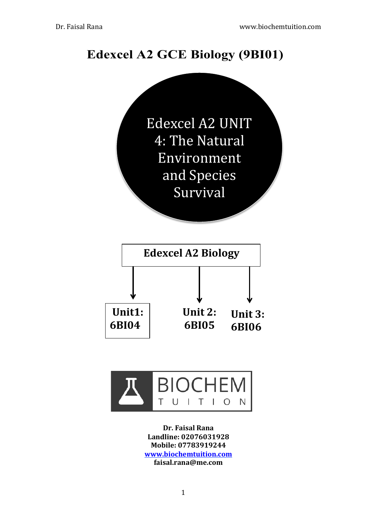# **Edexcel A2 GCE Biology (9BI01)**





**Dr.!Faisal!Rana** Landline: 02076031928 **Mobile:!07783919244 www.biochemtuition.com faisal.rana@me.com**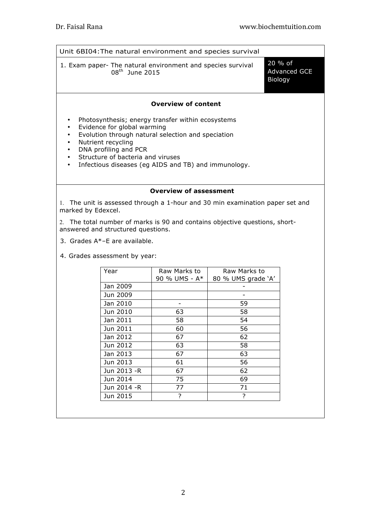| Unit 6BI04: The natural environment and species survival                                                                                                                                                                                                                                                                                      |                                           |  |
|-----------------------------------------------------------------------------------------------------------------------------------------------------------------------------------------------------------------------------------------------------------------------------------------------------------------------------------------------|-------------------------------------------|--|
| 1. Exam paper- The natural environment and species survival<br>$08^{th}$ June 2015                                                                                                                                                                                                                                                            | 20 % of<br><b>Advanced GCE</b><br>Biology |  |
| <b>Overview of content</b>                                                                                                                                                                                                                                                                                                                    |                                           |  |
| Photosynthesis; energy transfer within ecosystems<br>٠<br>Evidence for global warming<br>$\bullet$<br>Evolution through natural selection and speciation<br>٠<br>Nutrient recycling<br>٠<br>DNA profiling and PCR<br>٠<br>Structure of bacteria and viruses<br>$\bullet$<br>Infectious diseases (eg AIDS and TB) and immunology.<br>$\bullet$ |                                           |  |
| <b>Overview of assessment</b>                                                                                                                                                                                                                                                                                                                 |                                           |  |
| 1. The unit is assessed through a 1-hour and 30 min examination paper set and<br>marked by Edexcel.                                                                                                                                                                                                                                           |                                           |  |
| 2. The total number of marks is 90 and contains objective questions, short-<br>answered and structured questions.                                                                                                                                                                                                                             |                                           |  |
|                                                                                                                                                                                                                                                                                                                                               |                                           |  |

- 3. Grades A\*–E are available.
- 4. Grades assessment by year:

| Year         | Raw Marks to  | Raw Marks to       |
|--------------|---------------|--------------------|
|              | 90 % UMS - A* | 80 % UMS grade 'A' |
| Jan 2009     |               |                    |
| Jun 2009     |               |                    |
| Jan 2010     |               | 59                 |
| Jun 2010     | 63            | 58                 |
| Jan 2011     | 58            | 54                 |
| Jun 2011     | 60            | 56                 |
| Jan 2012     | 67            | 62                 |
| Jun 2012     | 63            | 58                 |
| Jan 2013     | 67            | 63                 |
| Jun 2013     | 61            | 56                 |
| Jun 2013 - R | 67            | 62                 |
| Jun 2014     | 75            | 69                 |
| Jun 2014 -R  | 77            | 71                 |
| Jun 2015     | 7             | 7                  |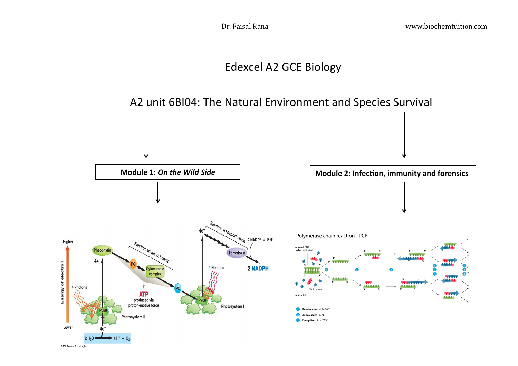## Edexcel A2 GCE Biology

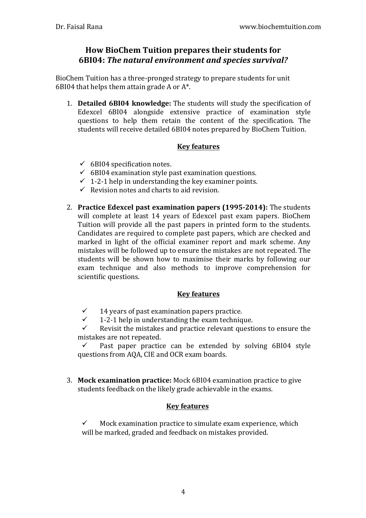#### **How BioChem Tuition prepares their students for 6BI04: The natural environment and species survival?**

BioChem Tuition has a three-pronged strategy to prepare students for unit 6BI04 that helps them attain grade A or  $A^*$ .

1. **Detailed 6BI04 knowledge:** The students will study the specification of Edexcel  $6B104$  alongside extensive practice of examination style questions to help them retain the content of the specification. The students will receive detailed 6BI04 notes prepared by BioChem Tuition.

#### **Key features**

- $\checkmark$  6BI04 specification notes.
- $\checkmark$  6BI04 examination style past examination questions.
- $\checkmark$  1-2-1 help in understanding the key examiner points.
- $\checkmark$  Revision notes and charts to aid revision.
- 2. **Practice Edexcel past examination papers (1995-2014):** The students will complete at least 14 years of Edexcel past exam papers. BioChem Tuition will provide all the past papers in printed form to the students. Candidates are required to complete past papers, which are checked and marked in light of the official examiner report and mark scheme. Any mistakes will be followed up to ensure the mistakes are not repeated. The students will be shown how to maximise their marks by following our exam technique and also methods to improve comprehension for scientific questions.

#### **Key features**

- $\checkmark$  14 years of past examination papers practice.
- $\checkmark$  1-2-1 help in understanding the exam technique.<br> $\checkmark$  Revisit the mistakes and practice relevant questi

Revisit the mistakes and practice relevant questions to ensure the mistakes are not repeated.

 $\checkmark$  Past paper practice can be extended by solving 6BI04 style questions from AQA, CIE and OCR exam boards.

3. **Mock examination practice:** Mock 6BI04 examination practice to give students feedback on the likely grade achievable in the exams.

#### **Key features**

 $\checkmark$  Mock examination practice to simulate exam experience, which will be marked, graded and feedback on mistakes provided.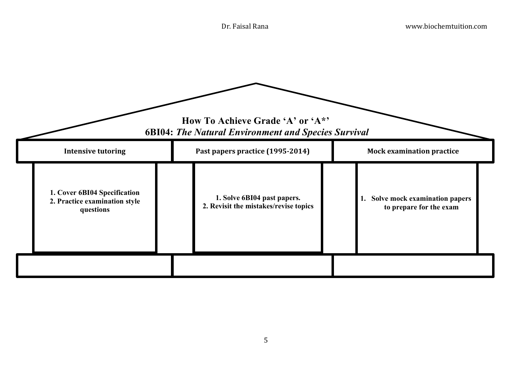| How To Achieve Grade 'A' or 'A*'<br><b>6BI04: The Natural Environment and Species Survival</b> |                                                                      |                                                             |  |
|------------------------------------------------------------------------------------------------|----------------------------------------------------------------------|-------------------------------------------------------------|--|
| <b>Intensive tutoring</b>                                                                      | Past papers practice (1995-2014)                                     | <b>Mock examination practice</b>                            |  |
| 1. Cover 6BI04 Specification<br>2. Practice examination style<br>questions                     | 1. Solve 6BI04 past papers.<br>2. Revisit the mistakes/revise topics | 1. Solve mock examination papers<br>to prepare for the exam |  |
|                                                                                                |                                                                      |                                                             |  |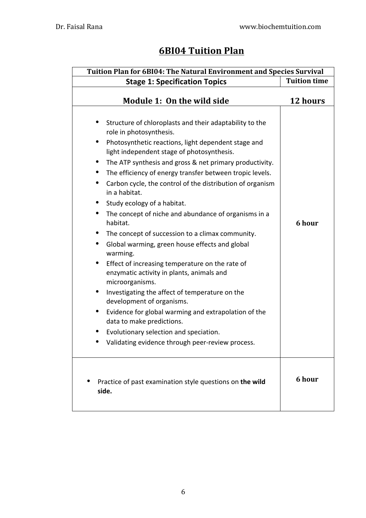### **6BI04 Tuition Plan**

| <b>Tuition Plan for 6BI04: The Natural Environment and Species Survival</b>                                                                                                                                                                                                                                                                                                                                                                                                                                                                                                                                                                                                                                                                                                                                                                                                                                                                                                                                                                                                                                    |                     |
|----------------------------------------------------------------------------------------------------------------------------------------------------------------------------------------------------------------------------------------------------------------------------------------------------------------------------------------------------------------------------------------------------------------------------------------------------------------------------------------------------------------------------------------------------------------------------------------------------------------------------------------------------------------------------------------------------------------------------------------------------------------------------------------------------------------------------------------------------------------------------------------------------------------------------------------------------------------------------------------------------------------------------------------------------------------------------------------------------------------|---------------------|
| <b>Stage 1: Specification Topics</b>                                                                                                                                                                                                                                                                                                                                                                                                                                                                                                                                                                                                                                                                                                                                                                                                                                                                                                                                                                                                                                                                           | <b>Tuition time</b> |
| Module 1: On the wild side                                                                                                                                                                                                                                                                                                                                                                                                                                                                                                                                                                                                                                                                                                                                                                                                                                                                                                                                                                                                                                                                                     | 12 hours            |
| Structure of chloroplasts and their adaptability to the<br>role in photosynthesis.<br>Photosynthetic reactions, light dependent stage and<br>light independent stage of photosynthesis.<br>The ATP synthesis and gross & net primary productivity.<br>$\bullet$<br>The efficiency of energy transfer between tropic levels.<br>$\bullet$<br>Carbon cycle, the control of the distribution of organism<br>$\bullet$<br>in a habitat.<br>Study ecology of a habitat.<br>$\bullet$<br>The concept of niche and abundance of organisms in a<br>$\bullet$<br>habitat.<br>The concept of succession to a climax community.<br>$\bullet$<br>Global warming, green house effects and global<br>$\bullet$<br>warming.<br>Effect of increasing temperature on the rate of<br>enzymatic activity in plants, animals and<br>microorganisms.<br>Investigating the affect of temperature on the<br>$\bullet$<br>development of organisms.<br>Evidence for global warming and extrapolation of the<br>data to make predictions.<br>Evolutionary selection and speciation.<br>Validating evidence through peer-review process. | 6 hour              |
| Practice of past examination style questions on the wild<br>side.                                                                                                                                                                                                                                                                                                                                                                                                                                                                                                                                                                                                                                                                                                                                                                                                                                                                                                                                                                                                                                              | 6 hour              |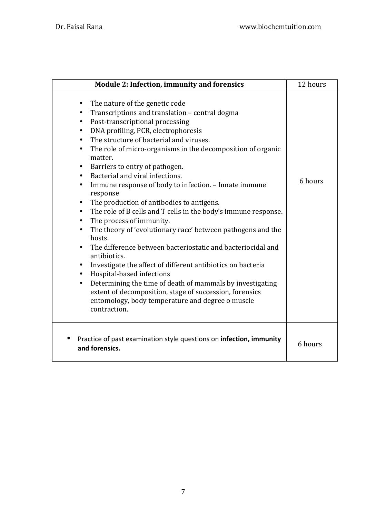| <b>Module 2: Infection, immunity and forensics</b>                                                                                                                                                                                                                                                                                                                                                                                                                                                                                                                                                                                                                                                                                                                                                                                                                                                                                                                                                                                                                                                                                                                                                                                        | 12 hours |
|-------------------------------------------------------------------------------------------------------------------------------------------------------------------------------------------------------------------------------------------------------------------------------------------------------------------------------------------------------------------------------------------------------------------------------------------------------------------------------------------------------------------------------------------------------------------------------------------------------------------------------------------------------------------------------------------------------------------------------------------------------------------------------------------------------------------------------------------------------------------------------------------------------------------------------------------------------------------------------------------------------------------------------------------------------------------------------------------------------------------------------------------------------------------------------------------------------------------------------------------|----------|
| The nature of the genetic code<br>٠<br>Transcriptions and translation - central dogma<br>$\bullet$<br>Post-transcriptional processing<br>$\bullet$<br>DNA profiling, PCR, electrophoresis<br>$\bullet$<br>The structure of bacterial and viruses.<br>$\bullet$<br>The role of micro-organisms in the decomposition of organic<br>$\bullet$<br>matter.<br>Barriers to entry of pathogen.<br>$\bullet$<br>Bacterial and viral infections.<br>$\bullet$<br>Immune response of body to infection. - Innate immune<br>$\bullet$<br>response<br>The production of antibodies to antigens.<br>$\bullet$<br>The role of B cells and T cells in the body's immune response.<br>$\bullet$<br>The process of immunity.<br>$\bullet$<br>The theory of 'evolutionary race' between pathogens and the<br>$\bullet$<br>hosts.<br>The difference between bacteriostatic and bacteriocidal and<br>$\bullet$<br>antibiotics.<br>Investigate the affect of different antibiotics on bacteria<br>$\bullet$<br>Hospital-based infections<br>$\bullet$<br>Determining the time of death of mammals by investigating<br>$\bullet$<br>extent of decomposition, stage of succession, forensics<br>entomology, body temperature and degree o muscle<br>contraction. | 6 hours  |
| Practice of past examination style questions on infection, immunity<br>and forensics.                                                                                                                                                                                                                                                                                                                                                                                                                                                                                                                                                                                                                                                                                                                                                                                                                                                                                                                                                                                                                                                                                                                                                     | 6 hours  |